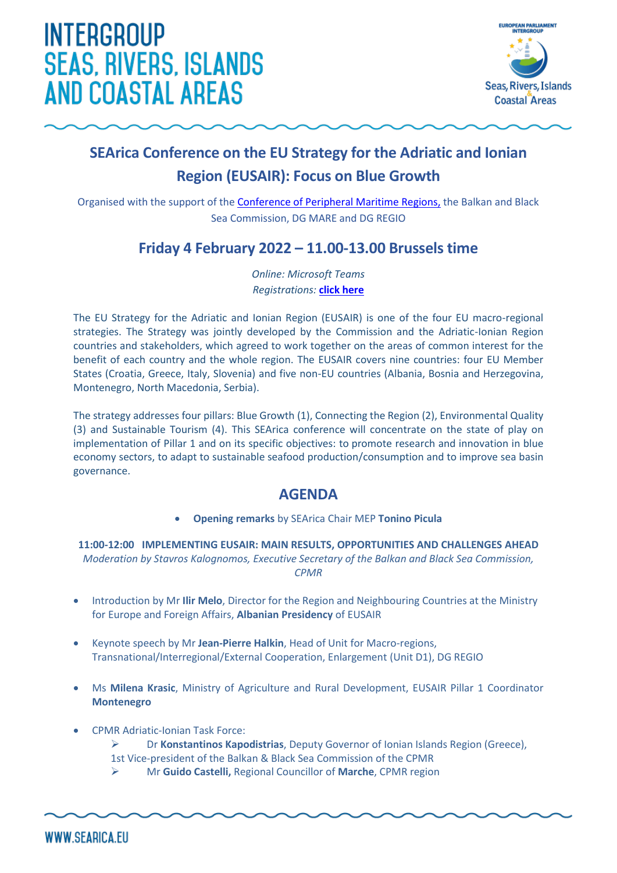# **INTERGROUP SEAS, RIVERS, ISLANDS AND COASTAL AREAS**



### **SEArica Conference on the EU Strategy for the Adriatic and Ionian Region (EUSAIR): Focus on Blue Growth**

Organised with the support of the **[Conference of Peripheral Maritime](https://cpmr.org/) Regions**, the Balkan and Black Sea Commission, DG MARE and DG REGIO

### **Friday 4 February 2022 – 11.00-13.00 Brussels time**

*Online: Microsoft Teams Registrations:* **[click here](http://www.searica.eu/2020-2024/events-2019-2024/searica-conference-on-the-eu-strategy-for-the-adriatic-and-ionian-region-eusair-focus-on-blue-growth/individual-registration)**

The EU Strategy for the Adriatic and Ionian Region (EUSAIR) is one of the four EU macro-regional strategies. The Strategy was jointly developed by the Commission and the Adriatic-Ionian Region countries and stakeholders, which agreed to work together on the areas of common interest for the benefit of each country and the whole region. The EUSAIR covers nine countries: four EU Member States (Croatia, Greece, Italy, Slovenia) and five non-EU countries (Albania, Bosnia and Herzegovina, Montenegro, North Macedonia, Serbia).

The strategy addresses four pillars: Blue Growth (1), Connecting the Region (2), Environmental Quality (3) and Sustainable Tourism (4). This SEArica conference will concentrate on the state of play on implementation of Pillar 1 and on its specific objectives: to promote research and innovation in blue economy sectors, to adapt to sustainable seafood production/consumption and to improve sea basin governance.

### **AGENDA**

• **Opening remarks** by SEArica Chair MEP **Tonino Picula**

**11:00-12:00 IMPLEMENTING EUSAIR: MAIN RESULTS, OPPORTUNITIES AND CHALLENGES AHEAD** *Moderation by Stavros Kalognomos, Executive Secretary of the Balkan and Black Sea Commission, CPMR*

- Introduction by Mr **Ilir Melo**, Director for the Region and Neighbouring Countries at the Ministry for Europe and Foreign Affairs, **Albanian Presidency** of EUSAIR
- Keynote speech by Mr **Jean-Pierre Halkin**, Head of Unit for Macro-regions, Transnational/Interregional/External Cooperation, Enlargement (Unit D1), DG REGIO
- Ms **Milena Krasic**, Ministry of Agriculture and Rural Development, EUSAIR Pillar 1 Coordinator **Montenegro**
- CPMR Adriatic-Ionian Task Force:
	- ➢ Dr **Konstantinos Kapodistrias**, Deputy Governor of Ionian Islands Region (Greece),
	- 1st Vice-president of the Balkan & Black Sea Commission of the CPMR
	- ➢ Mr **Guido Castelli,** Regional Councillor of **Marche**, CPMR region